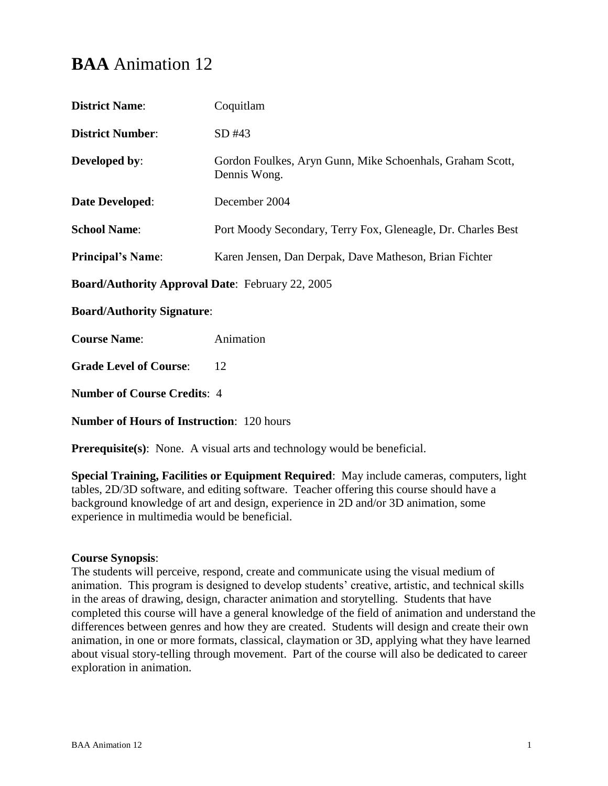# **BAA** Animation 12

| $SD$ #43<br>Gordon Foulkes, Aryn Gunn, Mike Schoenhals, Graham Scott,<br>Dennis Wong.<br>December 2004<br>Port Moody Secondary, Terry Fox, Gleneagle, Dr. Charles Best<br>Karen Jensen, Dan Derpak, Dave Matheson, Brian Fichter<br>Animation<br>12 | <b>District Name:</b>                                   | Coquitlam |  |
|-----------------------------------------------------------------------------------------------------------------------------------------------------------------------------------------------------------------------------------------------------|---------------------------------------------------------|-----------|--|
|                                                                                                                                                                                                                                                     | <b>District Number:</b>                                 |           |  |
|                                                                                                                                                                                                                                                     | <b>Developed by:</b>                                    |           |  |
|                                                                                                                                                                                                                                                     | Date Developed:                                         |           |  |
|                                                                                                                                                                                                                                                     | <b>School Name:</b>                                     |           |  |
|                                                                                                                                                                                                                                                     | <b>Principal's Name:</b>                                |           |  |
|                                                                                                                                                                                                                                                     | <b>Board/Authority Approval Date: February 22, 2005</b> |           |  |
|                                                                                                                                                                                                                                                     | <b>Board/Authority Signature:</b>                       |           |  |
|                                                                                                                                                                                                                                                     | <b>Course Name:</b>                                     |           |  |
|                                                                                                                                                                                                                                                     | <b>Grade Level of Course:</b>                           |           |  |

**Number of Course Credits**: 4

**Number of Hours of Instruction**: 120 hours

**Prerequisite(s):** None. A visual arts and technology would be beneficial.

**Special Training, Facilities or Equipment Required**: May include cameras, computers, light tables, 2D/3D software, and editing software. Teacher offering this course should have a background knowledge of art and design, experience in 2D and/or 3D animation, some experience in multimedia would be beneficial.

# **Course Synopsis**:

The students will perceive, respond, create and communicate using the visual medium of animation. This program is designed to develop students' creative, artistic, and technical skills in the areas of drawing, design, character animation and storytelling. Students that have completed this course will have a general knowledge of the field of animation and understand the differences between genres and how they are created. Students will design and create their own animation, in one or more formats, classical, claymation or 3D, applying what they have learned about visual story-telling through movement. Part of the course will also be dedicated to career exploration in animation.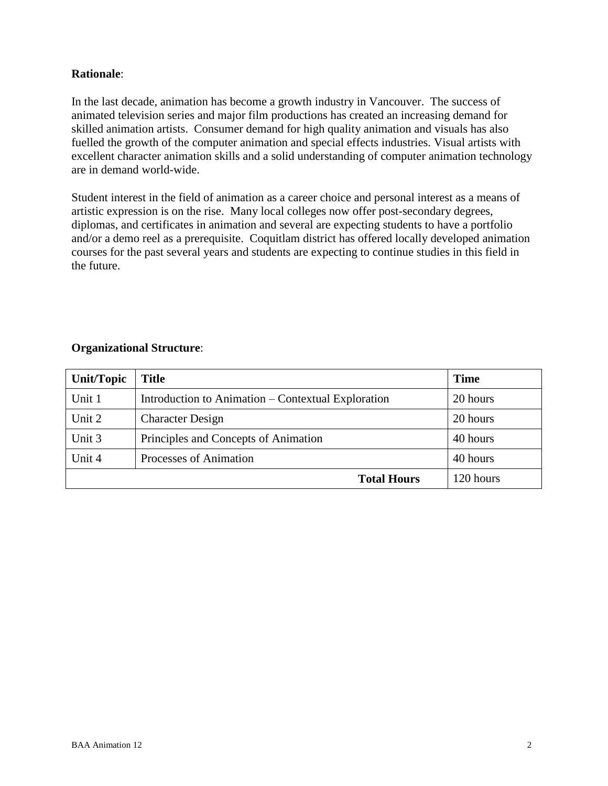# **Rationale**:

In the last decade, animation has become a growth industry in Vancouver. The success of animated television series and major film productions has created an increasing demand for skilled animation artists. Consumer demand for high quality animation and visuals has also fuelled the growth of the computer animation and special effects industries. Visual artists with excellent character animation skills and a solid understanding of computer animation technology are in demand world-wide.

Student interest in the field of animation as a career choice and personal interest as a means of artistic expression is on the rise. Many local colleges now offer post-secondary degrees, diplomas, and certificates in animation and several are expecting students to have a portfolio and/or a demo reel as a prerequisite. Coquitlam district has offered locally developed animation courses for the past several years and students are expecting to continue studies in this field in the future.

#### **Organizational Structure**:

| Unit/Topic | <b>Title</b>                                       | <b>Time</b> |
|------------|----------------------------------------------------|-------------|
| Unit 1     | Introduction to Animation – Contextual Exploration | 20 hours    |
| Unit 2     | <b>Character Design</b>                            | 20 hours    |
| Unit 3     | Principles and Concepts of Animation               | 40 hours    |
| Unit 4     | Processes of Animation                             | 40 hours    |
|            | <b>Total Hours</b>                                 | 120 hours   |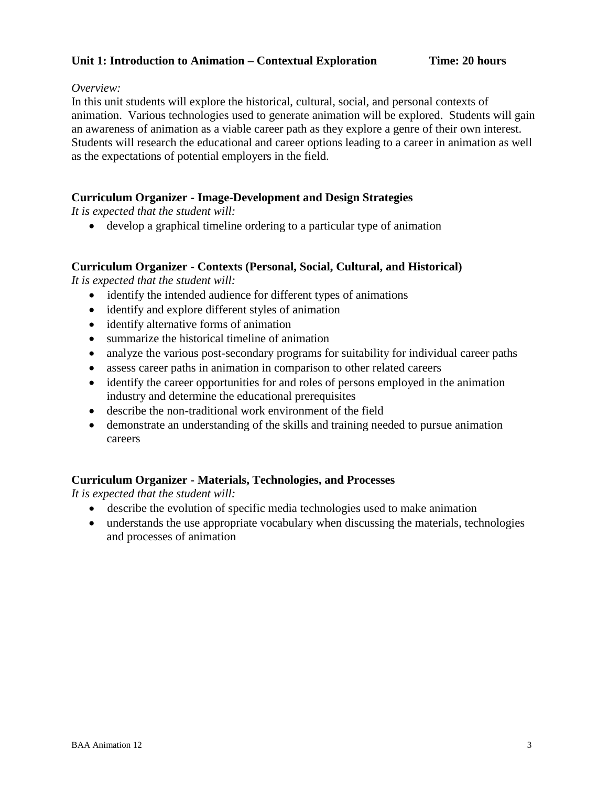# **Unit 1: Introduction to Animation – Contextual Exploration Time: 20 hours**

#### *Overview:*

In this unit students will explore the historical, cultural, social, and personal contexts of animation. Various technologies used to generate animation will be explored. Students will gain an awareness of animation as a viable career path as they explore a genre of their own interest. Students will research the educational and career options leading to a career in animation as well as the expectations of potential employers in the field.

# **Curriculum Organizer - Image-Development and Design Strategies**

*It is expected that the student will:*

develop a graphical timeline ordering to a particular type of animation

# **Curriculum Organizer - Contexts (Personal, Social, Cultural, and Historical)**

*It is expected that the student will:*

- identify the intended audience for different types of animations
- identify and explore different styles of animation
- identify alternative forms of animation
- summarize the historical timeline of animation
- analyze the various post-secondary programs for suitability for individual career paths
- assess career paths in animation in comparison to other related careers
- identify the career opportunities for and roles of persons employed in the animation industry and determine the educational prerequisites
- describe the non-traditional work environment of the field
- demonstrate an understanding of the skills and training needed to pursue animation careers

#### **Curriculum Organizer - Materials, Technologies, and Processes**

*It is expected that the student will:*

- describe the evolution of specific media technologies used to make animation
- understands the use appropriate vocabulary when discussing the materials, technologies and processes of animation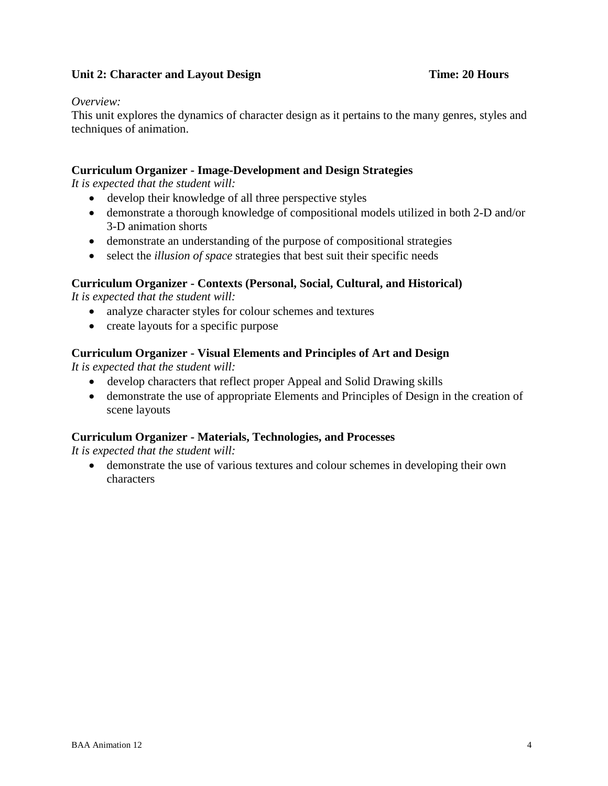# **Unit 2: Character and Layout Design <b>Time: 20 Hours**

#### *Overview:*

This unit explores the dynamics of character design as it pertains to the many genres, styles and techniques of animation.

# **Curriculum Organizer - Image-Development and Design Strategies**

*It is expected that the student will:*

- develop their knowledge of all three perspective styles
- demonstrate a thorough knowledge of compositional models utilized in both 2-D and/or 3-D animation shorts
- demonstrate an understanding of the purpose of compositional strategies
- select the *illusion of space* strategies that best suit their specific needs

# **Curriculum Organizer - Contexts (Personal, Social, Cultural, and Historical)**

*It is expected that the student will:*

- analyze character styles for colour schemes and textures
- create layouts for a specific purpose

# **Curriculum Organizer - Visual Elements and Principles of Art and Design**

*It is expected that the student will:*

- develop characters that reflect proper Appeal and Solid Drawing skills
- demonstrate the use of appropriate Elements and Principles of Design in the creation of scene layouts

#### **Curriculum Organizer - Materials, Technologies, and Processes**

*It is expected that the student will:*

 demonstrate the use of various textures and colour schemes in developing their own characters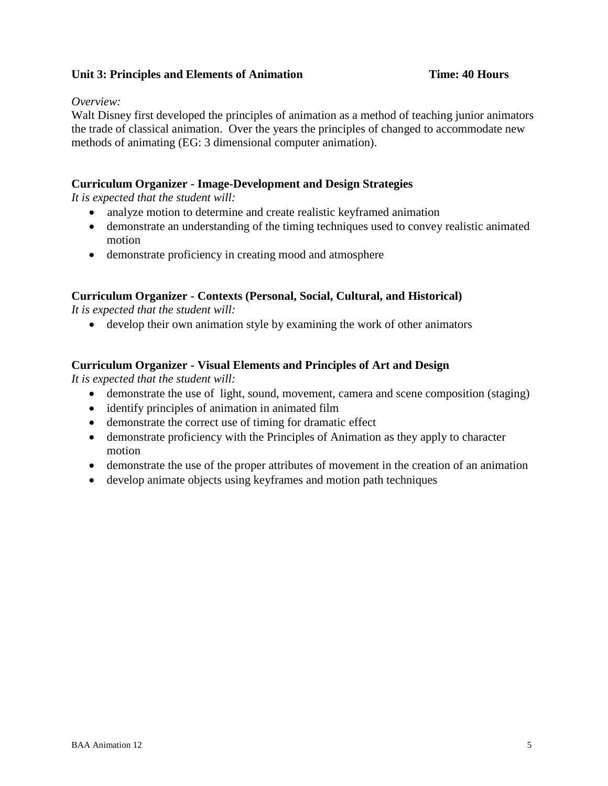# **Unit 3: Principles and Elements of Animation Time: 40 Hours**

#### *Overview:*

Walt Disney first developed the principles of animation as a method of teaching junior animators the trade of classical animation. Over the years the principles of changed to accommodate new methods of animating (EG: 3 dimensional computer animation).

# **Curriculum Organizer - Image-Development and Design Strategies**

*It is expected that the student will:*

- analyze motion to determine and create realistic keyframed animation
- demonstrate an understanding of the timing techniques used to convey realistic animated motion
- demonstrate proficiency in creating mood and atmosphere

# **Curriculum Organizer - Contexts (Personal, Social, Cultural, and Historical)**

*It is expected that the student will:*

develop their own animation style by examining the work of other animators

# **Curriculum Organizer - Visual Elements and Principles of Art and Design**

*It is expected that the student will:*

- demonstrate the use of light, sound, movement, camera and scene composition (staging)
- identify principles of animation in animated film
- demonstrate the correct use of timing for dramatic effect
- demonstrate proficiency with the Principles of Animation as they apply to character motion
- demonstrate the use of the proper attributes of movement in the creation of an animation
- develop animate objects using keyframes and motion path techniques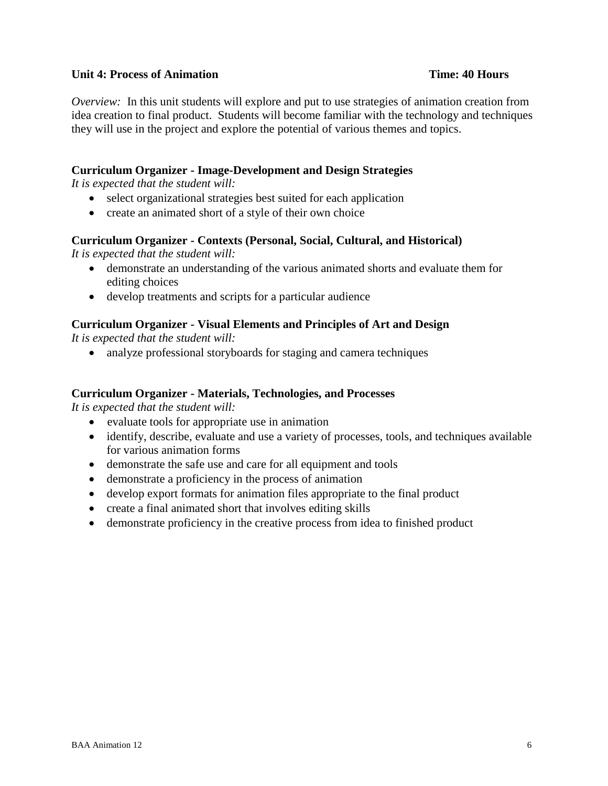#### **Unit 4: Process of Animation Time: 40 Hours**

*Overview:* In this unit students will explore and put to use strategies of animation creation from idea creation to final product. Students will become familiar with the technology and techniques they will use in the project and explore the potential of various themes and topics.

#### **Curriculum Organizer - Image-Development and Design Strategies**

*It is expected that the student will:*

- select organizational strategies best suited for each application
- create an animated short of a style of their own choice

#### **Curriculum Organizer - Contexts (Personal, Social, Cultural, and Historical)**

*It is expected that the student will:*

- demonstrate an understanding of the various animated shorts and evaluate them for editing choices
- develop treatments and scripts for a particular audience

#### **Curriculum Organizer - Visual Elements and Principles of Art and Design**

*It is expected that the student will:*

• analyze professional storyboards for staging and camera techniques

#### **Curriculum Organizer - Materials, Technologies, and Processes**

*It is expected that the student will:*

- evaluate tools for appropriate use in animation
- identify, describe, evaluate and use a variety of processes, tools, and techniques available for various animation forms
- demonstrate the safe use and care for all equipment and tools
- demonstrate a proficiency in the process of animation
- develop export formats for animation files appropriate to the final product
- create a final animated short that involves editing skills
- demonstrate proficiency in the creative process from idea to finished product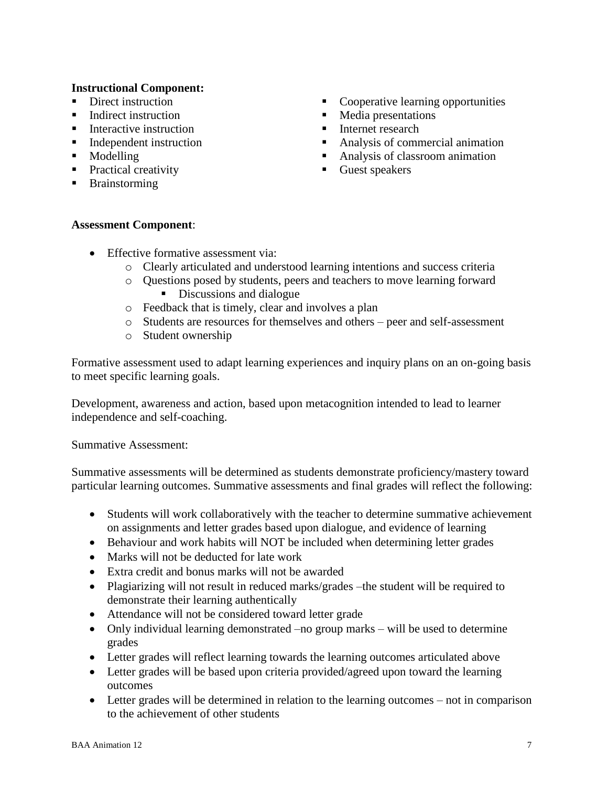#### **Instructional Component:**

- Direct instruction
- Indirect instruction
- $\blacksquare$  Interactive instruction
- Independent instruction
- Modelling
- **Practical creativity**
- **Brainstorming**
- Cooperative learning opportunities
- Media presentations
- **Internet research**
- Analysis of commercial animation
- Analysis of classroom animation
- Guest speakers

#### **Assessment Component**:

- Effective formative assessment via:
	- o Clearly articulated and understood learning intentions and success criteria
	- o Questions posed by students, peers and teachers to move learning forward Discussions and dialogue
	- o Feedback that is timely, clear and involves a plan
	- o Students are resources for themselves and others peer and self-assessment
	- o Student ownership

Formative assessment used to adapt learning experiences and inquiry plans on an on-going basis to meet specific learning goals.

Development, awareness and action, based upon metacognition intended to lead to learner independence and self-coaching.

Summative Assessment:

Summative assessments will be determined as students demonstrate proficiency/mastery toward particular learning outcomes. Summative assessments and final grades will reflect the following:

- Students will work collaboratively with the teacher to determine summative achievement on assignments and letter grades based upon dialogue, and evidence of learning
- Behaviour and work habits will NOT be included when determining letter grades
- Marks will not be deducted for late work
- Extra credit and bonus marks will not be awarded
- Plagiarizing will not result in reduced marks/grades –the student will be required to demonstrate their learning authentically
- Attendance will not be considered toward letter grade
- Only individual learning demonstrated –no group marks will be used to determine grades
- Letter grades will reflect learning towards the learning outcomes articulated above
- Letter grades will be based upon criteria provided/agreed upon toward the learning outcomes
- Letter grades will be determined in relation to the learning outcomes not in comparison to the achievement of other students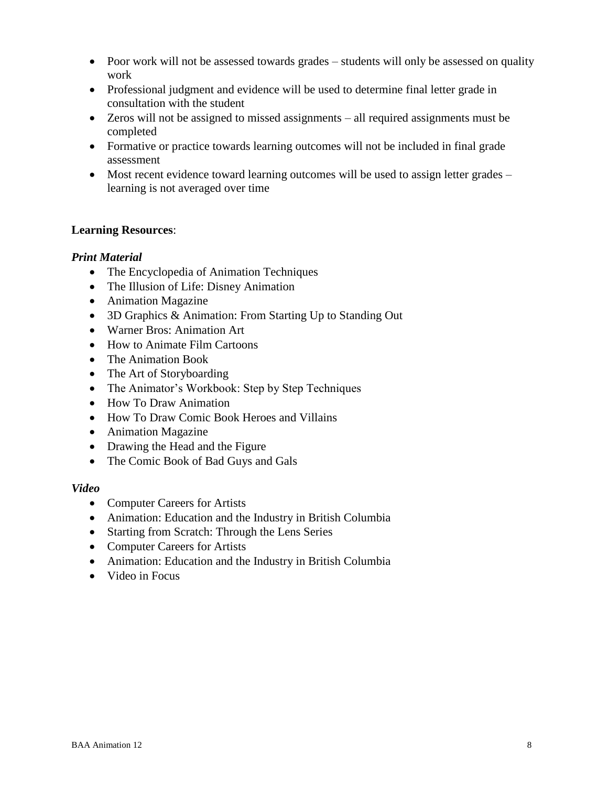- Poor work will not be assessed towards grades students will only be assessed on quality work
- Professional judgment and evidence will be used to determine final letter grade in consultation with the student
- Zeros will not be assigned to missed assignments all required assignments must be completed
- Formative or practice towards learning outcomes will not be included in final grade assessment
- Most recent evidence toward learning outcomes will be used to assign letter grades learning is not averaged over time

# **Learning Resources**:

# *Print Material*

- The Encyclopedia of Animation Techniques
- The Illusion of Life: Disney Animation
- Animation Magazine
- 3D Graphics & Animation: From Starting Up to Standing Out
- Warner Bros: Animation Art
- How to Animate Film Cartoons
- The Animation Book
- The Art of Storyboarding
- The Animator's Workbook: Step by Step Techniques
- How To Draw Animation
- How To Draw Comic Book Heroes and Villains
- Animation Magazine
- Drawing the Head and the Figure
- The Comic Book of Bad Guys and Gals

#### *Video*

- Computer Careers for Artists
- Animation: Education and the Industry in British Columbia
- Starting from Scratch: Through the Lens Series
- Computer Careers for Artists
- Animation: Education and the Industry in British Columbia
- Video in Focus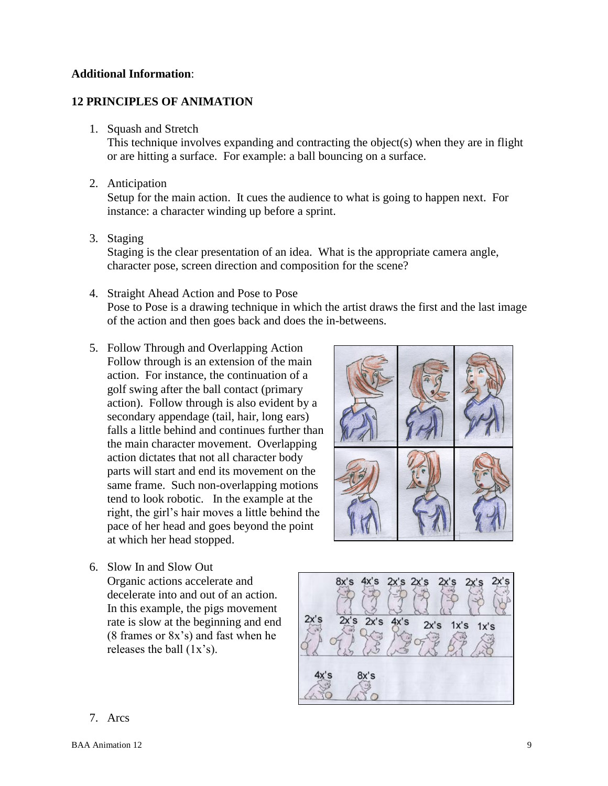#### **Additional Information**:

# **12 PRINCIPLES OF ANIMATION**

1. Squash and Stretch

This technique involves expanding and contracting the object(s) when they are in flight or are hitting a surface. For example: a ball bouncing on a surface.

2. Anticipation

Setup for the main action. It cues the audience to what is going to happen next. For instance: a character winding up before a sprint.

3. Staging

Staging is the clear presentation of an idea. What is the appropriate camera angle, character pose, screen direction and composition for the scene?

- 4. Straight Ahead Action and Pose to Pose Pose to Pose is a drawing technique in which the artist draws the first and the last image of the action and then goes back and does the in-betweens.
- 5. Follow Through and Overlapping Action Follow through is an extension of the main action. For instance, the continuation of a golf swing after the ball contact (primary action). Follow through is also evident by a secondary appendage (tail, hair, long ears) falls a little behind and continues further than the main character movement. Overlapping action dictates that not all character body parts will start and end its movement on the same frame. Such non-overlapping motions tend to look robotic. In the example at the right, the girl's hair moves a little behind the pace of her head and goes beyond the point at which her head stopped.
- 

6. Slow In and Slow Out

Organic actions accelerate and decelerate into and out of an action. In this example, the pigs movement rate is slow at the beginning and end (8 frames or 8x's) and fast when he releases the ball (1x's).



7. Arcs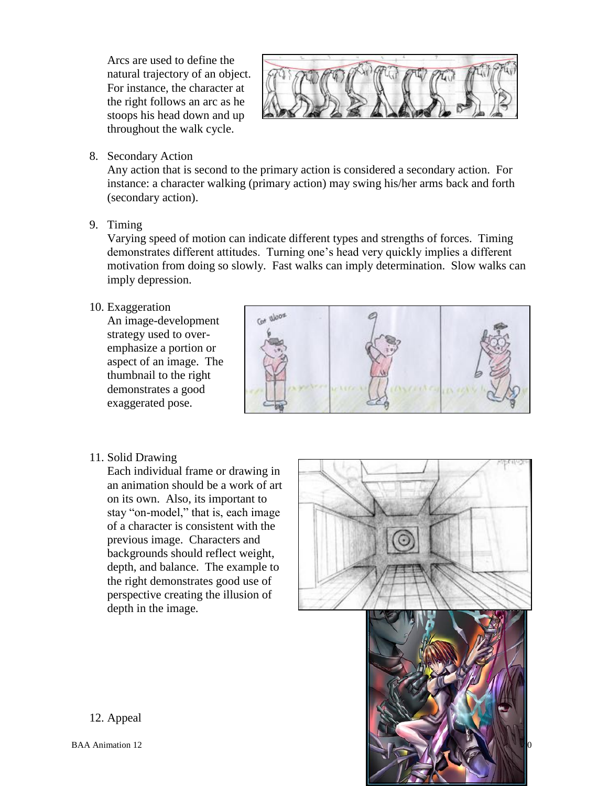Arcs are used to define the natural trajectory of an object. For instance, the character at the right follows an arc as he stoops his head down and up throughout the walk cycle.



8. Secondary Action

Any action that is second to the primary action is considered a secondary action. For instance: a character walking (primary action) may swing his/her arms back and forth (secondary action).

9. Timing

Varying speed of motion can indicate different types and strengths of forces. Timing demonstrates different attitudes. Turning one's head very quickly implies a different motivation from doing so slowly. Fast walks can imply determination. Slow walks can imply depression.

10. Exaggeration

An image-development strategy used to overemphasize a portion or aspect of an image. The thumbnail to the right demonstrates a good exaggerated pose.



11. Solid Drawing

Each individual frame or drawing in an animation should be a work of art on its own. Also, its important to stay "on-model," that is, each image of a character is consistent with the previous image. Characters and backgrounds should reflect weight, depth, and balance. The example to the right demonstrates good use of perspective creating the illusion of depth in the image.





12. Appeal

BAA Animation 12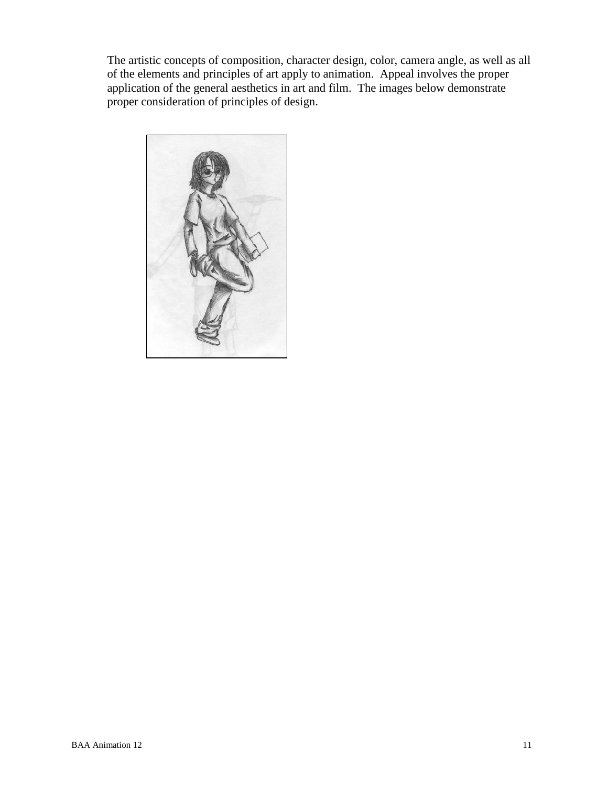The artistic concepts of composition, character design, color, camera angle, as well as all of the elements and principles of art apply to animation. Appeal involves the proper application of the general aesthetics in art and film. The images below demonstrate proper consideration of principles of design.

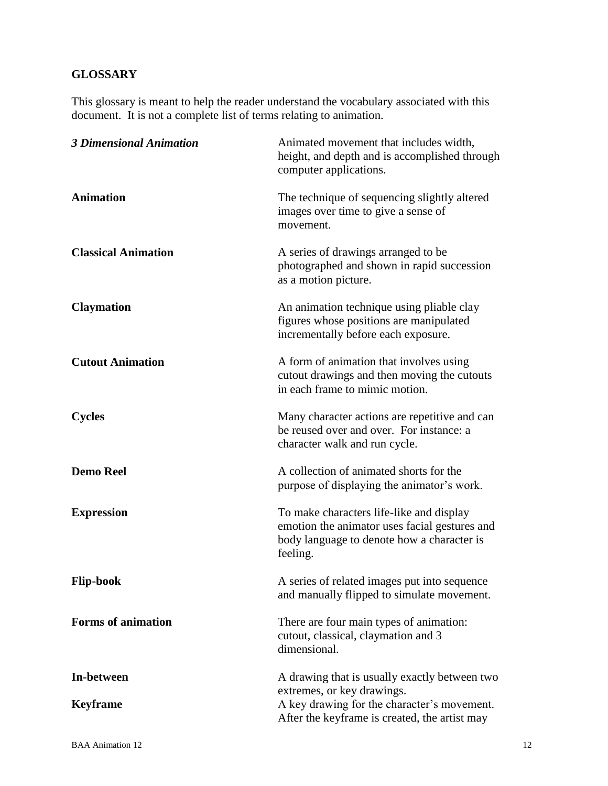# **GLOSSARY**

This glossary is meant to help the reader understand the vocabulary associated with this document. It is not a complete list of terms relating to animation.

| <b>3 Dimensional Animation</b> | Animated movement that includes width,<br>height, and depth and is accomplished through<br>computer applications.                                                           |
|--------------------------------|-----------------------------------------------------------------------------------------------------------------------------------------------------------------------------|
| <b>Animation</b>               | The technique of sequencing slightly altered<br>images over time to give a sense of<br>movement.                                                                            |
| <b>Classical Animation</b>     | A series of drawings arranged to be<br>photographed and shown in rapid succession<br>as a motion picture.                                                                   |
| <b>Claymation</b>              | An animation technique using pliable clay<br>figures whose positions are manipulated<br>incrementally before each exposure.                                                 |
| <b>Cutout Animation</b>        | A form of animation that involves using<br>cutout drawings and then moving the cutouts<br>in each frame to mimic motion.                                                    |
| <b>Cycles</b>                  | Many character actions are repetitive and can<br>be reused over and over. For instance: a<br>character walk and run cycle.                                                  |
| <b>Demo Reel</b>               | A collection of animated shorts for the<br>purpose of displaying the animator's work.                                                                                       |
| <b>Expression</b>              | To make characters life-like and display<br>emotion the animator uses facial gestures and<br>body language to denote how a character is<br>feeling.                         |
| <b>Flip-book</b>               | A series of related images put into sequence<br>and manually flipped to simulate movement.                                                                                  |
| <b>Forms of animation</b>      | There are four main types of animation:<br>cutout, classical, claymation and 3<br>dimensional.                                                                              |
| In-between<br><b>Keyframe</b>  | A drawing that is usually exactly between two<br>extremes, or key drawings.<br>A key drawing for the character's movement.<br>After the keyframe is created, the artist may |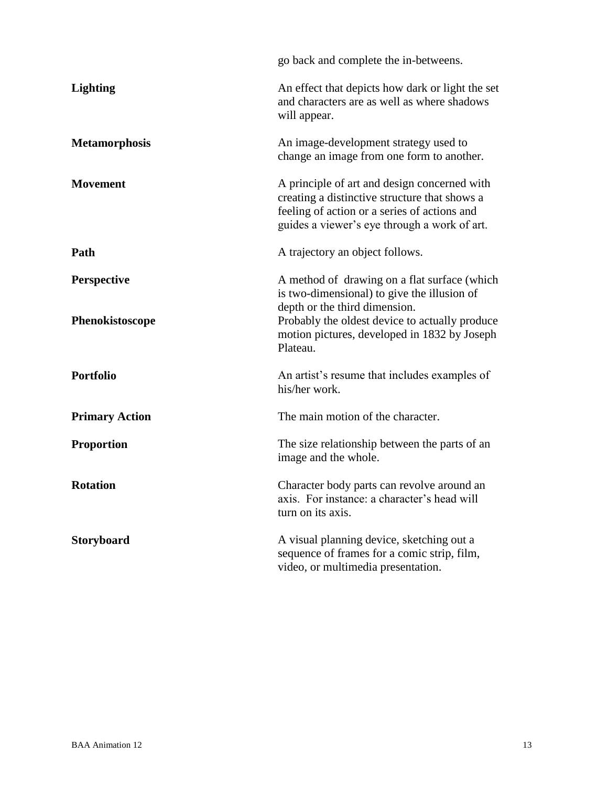|                                       | go back and complete the in-betweens.                                                                                                                                                                                                      |
|---------------------------------------|--------------------------------------------------------------------------------------------------------------------------------------------------------------------------------------------------------------------------------------------|
| <b>Lighting</b>                       | An effect that depicts how dark or light the set<br>and characters are as well as where shadows<br>will appear.                                                                                                                            |
| <b>Metamorphosis</b>                  | An image-development strategy used to<br>change an image from one form to another.                                                                                                                                                         |
| <b>Movement</b>                       | A principle of art and design concerned with<br>creating a distinctive structure that shows a<br>feeling of action or a series of actions and<br>guides a viewer's eye through a work of art.                                              |
| Path                                  | A trajectory an object follows.                                                                                                                                                                                                            |
| <b>Perspective</b><br>Phenokistoscope | A method of drawing on a flat surface (which<br>is two-dimensional) to give the illusion of<br>depth or the third dimension.<br>Probably the oldest device to actually produce<br>motion pictures, developed in 1832 by Joseph<br>Plateau. |
| <b>Portfolio</b>                      | An artist's resume that includes examples of<br>his/her work.                                                                                                                                                                              |
| <b>Primary Action</b>                 | The main motion of the character.                                                                                                                                                                                                          |
| <b>Proportion</b>                     | The size relationship between the parts of an<br>image and the whole.                                                                                                                                                                      |
| <b>Rotation</b>                       | Character body parts can revolve around an<br>axis. For instance: a character's head will<br>turn on its axis.                                                                                                                             |
| Storyboard                            | A visual planning device, sketching out a<br>sequence of frames for a comic strip, film,<br>video, or multimedia presentation.                                                                                                             |